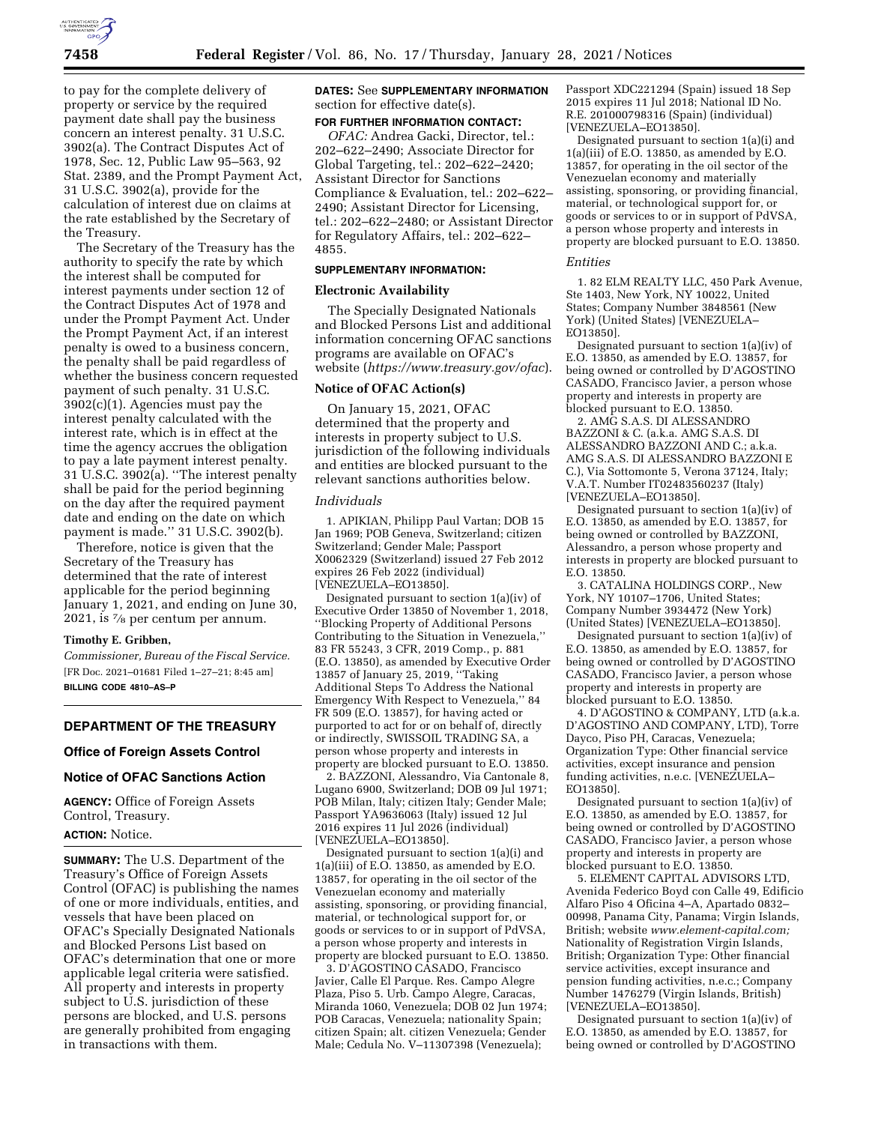

to pay for the complete delivery of property or service by the required payment date shall pay the business concern an interest penalty. 31 U.S.C. 3902(a). The Contract Disputes Act of 1978, Sec. 12, Public Law 95–563, 92 Stat. 2389, and the Prompt Payment Act, 31 U.S.C. 3902(a), provide for the calculation of interest due on claims at the rate established by the Secretary of the Treasury.

The Secretary of the Treasury has the authority to specify the rate by which the interest shall be computed for interest payments under section 12 of the Contract Disputes Act of 1978 and under the Prompt Payment Act. Under the Prompt Payment Act, if an interest penalty is owed to a business concern, the penalty shall be paid regardless of whether the business concern requested payment of such penalty. 31 U.S.C. 3902(c)(1). Agencies must pay the interest penalty calculated with the interest rate, which is in effect at the time the agency accrues the obligation to pay a late payment interest penalty. 31 U.S.C. 3902(a). ''The interest penalty shall be paid for the period beginning on the day after the required payment date and ending on the date on which payment is made.'' 31 U.S.C. 3902(b).

Therefore, notice is given that the Secretary of the Treasury has determined that the rate of interest applicable for the period beginning January 1, 2021, and ending on June 30, 2021, is 7⁄8 per centum per annum.

### **Timothy E. Gribben,**

*Commissioner, Bureau of the Fiscal Service.*  [FR Doc. 2021–01681 Filed 1–27–21; 8:45 am] **BILLING CODE 4810–AS–P** 

# **DEPARTMENT OF THE TREASURY**

# **Office of Foreign Assets Control**

# **Notice of OFAC Sanctions Action**

**AGENCY:** Office of Foreign Assets Control, Treasury.

# **ACTION:** Notice.

**SUMMARY:** The U.S. Department of the Treasury's Office of Foreign Assets Control (OFAC) is publishing the names of one or more individuals, entities, and vessels that have been placed on OFAC's Specially Designated Nationals and Blocked Persons List based on OFAC's determination that one or more applicable legal criteria were satisfied. All property and interests in property subject to U.S. jurisdiction of these persons are blocked, and U.S. persons are generally prohibited from engaging in transactions with them.

**DATES:** See **SUPPLEMENTARY INFORMATION** section for effective date(s).

# **FOR FURTHER INFORMATION CONTACT:**

*OFAC:* Andrea Gacki, Director, tel.: 202–622–2490; Associate Director for Global Targeting, tel.: 202–622–2420; Assistant Director for Sanctions Compliance & Evaluation, tel.: 202–622– 2490; Assistant Director for Licensing, tel.: 202–622–2480; or Assistant Director for Regulatory Affairs, tel.: 202–622– 4855.

#### **SUPPLEMENTARY INFORMATION:**

#### **Electronic Availability**

The Specially Designated Nationals and Blocked Persons List and additional information concerning OFAC sanctions programs are available on OFAC's website (*<https://www.treasury.gov/ofac>*).

## **Notice of OFAC Action(s)**

On January 15, 2021, OFAC determined that the property and interests in property subject to U.S. jurisdiction of the following individuals and entities are blocked pursuant to the relevant sanctions authorities below.

#### *Individuals*

1. APIKIAN, Philipp Paul Vartan; DOB 15 Jan 1969; POB Geneva, Switzerland; citizen Switzerland; Gender Male; Passport X0062329 (Switzerland) issued 27 Feb 2012 expires 26 Feb 2022 (individual) [VENEZUELA–EO13850].

Designated pursuant to section 1(a)(iv) of Executive Order 13850 of November 1, 2018, ''Blocking Property of Additional Persons Contributing to the Situation in Venezuela,'' 83 FR 55243, 3 CFR, 2019 Comp., p. 881 (E.O. 13850), as amended by Executive Order 13857 of January 25, 2019, ''Taking Additional Steps To Address the National Emergency With Respect to Venezuela,'' 84 FR 509 (E.O. 13857), for having acted or purported to act for or on behalf of, directly or indirectly, SWISSOIL TRADING SA, a person whose property and interests in property are blocked pursuant to E.O. 13850.

2. BAZZONI, Alessandro, Via Cantonale 8, Lugano 6900, Switzerland; DOB 09 Jul 1971; POB Milan, Italy; citizen Italy; Gender Male; Passport YA9636063 (Italy) issued 12 Jul 2016 expires 11 Jul 2026 (individual) [VENEZUELA–EO13850].

Designated pursuant to section 1(a)(i) and  $1(a)(iii)$  of E.O. 13850, as amended by E.O. 13857, for operating in the oil sector of the Venezuelan economy and materially assisting, sponsoring, or providing financial, material, or technological support for, or goods or services to or in support of PdVSA, a person whose property and interests in property are blocked pursuant to E.O. 13850.

3. D'AGOSTINO CASADO, Francisco Javier, Calle El Parque. Res. Campo Alegre Plaza, Piso 5. Urb. Campo Alegre, Caracas, Miranda 1060, Venezuela; DOB 02 Jun 1974; POB Caracas, Venezuela; nationality Spain; citizen Spain; alt. citizen Venezuela; Gender Male; Cedula No. V–11307398 (Venezuela);

Passport XDC221294 (Spain) issued 18 Sep 2015 expires 11 Jul 2018; National ID No. R.E. 201000798316 (Spain) (individual) [VENEZUELA–EO13850].

Designated pursuant to section 1(a)(i) and  $1(a)(iii)$  of E.O. 13850, as amended by E.O. 13857, for operating in the oil sector of the Venezuelan economy and materially assisting, sponsoring, or providing financial, material, or technological support for, or goods or services to or in support of PdVSA, a person whose property and interests in property are blocked pursuant to E.O. 13850.

#### *Entities*

1. 82 ELM REALTY LLC, 450 Park Avenue, Ste 1403, New York, NY 10022, United States; Company Number 3848561 (New York) (United States) [VENEZUELA– EO13850].

Designated pursuant to section 1(a)(iv) of E.O. 13850, as amended by E.O. 13857, for being owned or controlled by D'AGOSTINO CASADO, Francisco Javier, a person whose property and interests in property are blocked pursuant to E.O. 13850.

2. AMG S.A.S. DI ALESSANDRO BAZZONI & C. (a.k.a. AMG S.A.S. DI ALESSANDRO BAZZONI AND C.; a.k.a. AMG S.A.S. DI ALESSANDRO BAZZONI E C.), Via Sottomonte 5, Verona 37124, Italy; V.A.T. Number IT02483560237 (Italy) [VENEZUELA–EO13850].

Designated pursuant to section 1(a)(iv) of E.O. 13850, as amended by E.O. 13857, for being owned or controlled by BAZZONI, Alessandro, a person whose property and interests in property are blocked pursuant to E.O. 13850.

3. CATALINA HOLDINGS CORP., New York, NY 10107–1706, United States; Company Number 3934472 (New York) (United States) [VENEZUELA–EO13850].

Designated pursuant to section 1(a)(iv) of E.O. 13850, as amended by E.O. 13857, for being owned or controlled by D'AGOSTINO CASADO, Francisco Javier, a person whose property and interests in property are blocked pursuant to E.O. 13850.

4. D'AGOSTINO & COMPANY, LTD (a.k.a. D'AGOSTINO AND COMPANY, LTD), Torre Dayco, Piso PH, Caracas, Venezuela; Organization Type: Other financial service activities, except insurance and pension funding activities, n.e.c. [VENEZUELA– EO13850].

Designated pursuant to section 1(a)(iv) of E.O. 13850, as amended by E.O. 13857, for being owned or controlled by D'AGOSTINO CASADO, Francisco Javier, a person whose property and interests in property are blocked pursuant to E.O. 13850.

5. ELEMENT CAPITAL ADVISORS LTD, Avenida Federico Boyd con Calle 49, Edificio Alfaro Piso 4 Oficina 4–A, Apartado 0832– 00998, Panama City, Panama; Virgin Islands, British; website *[www.element-capital.com;](http://www.element-capital.com)*  Nationality of Registration Virgin Islands, British; Organization Type: Other financial service activities, except insurance and pension funding activities, n.e.c.; Company Number 1476279 (Virgin Islands, British) [VENEZUELA–EO13850].

Designated pursuant to section 1(a)(iv) of E.O. 13850, as amended by E.O. 13857, for being owned or controlled by D'AGOSTINO